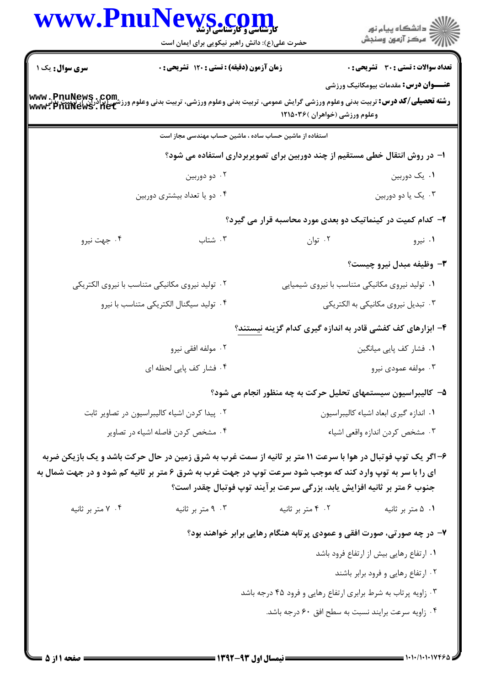| www.Pnu                                                   | <b>الکار (COIN) و کارسناسی ارشد</b><br>حضرت علی(ع): دانش راهبر نیکویی برای ایمان است |                                                         | ≦ دانشڪاه پيام نور<br>ر∕ = مرڪز آزمون وسنڊش                                                                                                                                                                                                                                                          |
|-----------------------------------------------------------|--------------------------------------------------------------------------------------|---------------------------------------------------------|------------------------------------------------------------------------------------------------------------------------------------------------------------------------------------------------------------------------------------------------------------------------------------------------------|
| سری سوال: یک ۱                                            | زمان آزمون (دقیقه) : تستی : ۱۲۰ تشریحی : ۰                                           |                                                         | <b>تعداد سوالات : تستي : 30 ٪ تشريحي : 0</b>                                                                                                                                                                                                                                                         |
| www.PnuNews.com<br>شي برادران )، توييت<br>www.PnuNews.net |                                                                                      | وعلوم ورزشي (خواهران )۱۲۱۵۰۳۶                           | <b>عنـــوان درس:</b> مقدمات بیومکانیک ورزشی<br><b>رشته تحصیلی/کد درس:</b> تربیت بدنی وعلوم ورزشی گرایش عمومی، تربیت بدنی وعلوم ورزشی، تربیت بدنی وعلوم ور <sub>ا</sub>                                                                                                                               |
|                                                           |                                                                                      | استفاده از ماشین حساب ساده ، ماشین حساب مهندسی مجاز است |                                                                                                                                                                                                                                                                                                      |
|                                                           |                                                                                      |                                                         | ا– در روش انتقال خطی مستقیم از چند دوربین برای تصویربرداری استفاده می شود؟                                                                                                                                                                                                                           |
|                                                           | ۰۲ دو دوربين                                                                         |                                                         | ۰۱ یک دوربین                                                                                                                                                                                                                                                                                         |
|                                                           | ۰۴ دو یا تعداد بیشتری دوربین                                                         |                                                         | ۰۳ یک یا دو دوربین                                                                                                                                                                                                                                                                                   |
|                                                           |                                                                                      |                                                         | ۲- کدام کمیت در کینماتیک دو بعدی مورد محاسبه قرار می گیرد؟                                                                                                                                                                                                                                           |
| ۰۴ جهت نيرو                                               | ۰۳ شتاب                                                                              | ۰۲ توان                                                 | ۰۱ نیرو                                                                                                                                                                                                                                                                                              |
|                                                           |                                                                                      |                                                         | ۳- وظیفه مبدل نیرو چیست؟                                                                                                                                                                                                                                                                             |
|                                                           | ۰۲ تولید نیروی مکانیکی متناسب با نیروی الکتریکی                                      |                                                         | ۰۱ تولید نیروی مکانیکی متناسب با نیروی شیمیایی                                                                                                                                                                                                                                                       |
|                                                           | ۰۴ تولید سیگنال الکتریکی متناسب با نیرو                                              |                                                         | ۰۳ تبدیل نیروی مکانیکی به الکتریکی                                                                                                                                                                                                                                                                   |
|                                                           |                                                                                      |                                                         | ۴– ابزارهای کف کفشی قادر به اندازه گیری کدام گزینه نیستند؟                                                                                                                                                                                                                                           |
|                                                           | ۰۲ مولفه افقی نیرو                                                                   |                                                         | ۰۱ فشار کف پایی میانگین                                                                                                                                                                                                                                                                              |
|                                                           | ۰۴ فشار كف پايي لحظه اي                                                              |                                                         | ۰۳ مولفه عمودی نیرو                                                                                                                                                                                                                                                                                  |
|                                                           |                                                                                      |                                                         | ۵– کالیبراسیون سیستمهای تحلیل حرکت به چه منظور انجام می شود؟                                                                                                                                                                                                                                         |
|                                                           | ۰۲ پیدا کردن اشیاء کالیبراسیون در تصاویر ثابت                                        |                                                         | ٠١ اندازه گيري ابعاد اشياء كاليبراسيون                                                                                                                                                                                                                                                               |
|                                                           | ۰۴ مشخص کردن فاصله اشیاء در تصاویر                                                   |                                                         | ٠٣ مشخص كردن اندازه واقعي اشياء                                                                                                                                                                                                                                                                      |
|                                                           |                                                                                      |                                                         | ۶- اگر یک توپ فوتبال در هوا با سرعت ۱۱ متر بر ثانیه از سمت غرب به شرق زمین در حال حرکت باشد و یک بازیکن ضربه<br>ای را با سر به توپ وارد کند که موجب شود سرعت توپ در جهت غرب به شرق ۶ متر بر ثانیه کم شود و در جهت شمال به<br>جنوب ۶ متر بر ثانیه افزایش یابد، بزرگی سرعت برآیند توپ فوتبال چقدر است؟ |
| ۰۴ متر بر ثانیه                                           | ۰۳ متر بر ثانیه                                                                      | ۰۲ متر بر ثانیه                                         | ۰۱ ۵ متر بر ثانیه                                                                                                                                                                                                                                                                                    |
|                                                           |                                                                                      |                                                         | ۷- در چه صورتی، صورت افقی و عمودی پرتابه هنگام رهایی برابر خواهند بود؟                                                                                                                                                                                                                               |
|                                                           |                                                                                      |                                                         | ۰۱ ارتفاع رهایی بیش از ارتفاع فرود باشد                                                                                                                                                                                                                                                              |
|                                                           |                                                                                      |                                                         | ۰۲ ارتفاع رهایی و فرود برابر باشند                                                                                                                                                                                                                                                                   |
|                                                           |                                                                                      |                                                         | ۰۳ زاویه پرتاب به شرط برابری ارتفاع رهایی و فرود ۴۵ درجه باشد                                                                                                                                                                                                                                        |
|                                                           |                                                                                      |                                                         | ۰۴ زاویه سرعت برایند نسبت به سطح افق ۶۰ درجه باشد.                                                                                                                                                                                                                                                   |
|                                                           |                                                                                      |                                                         |                                                                                                                                                                                                                                                                                                      |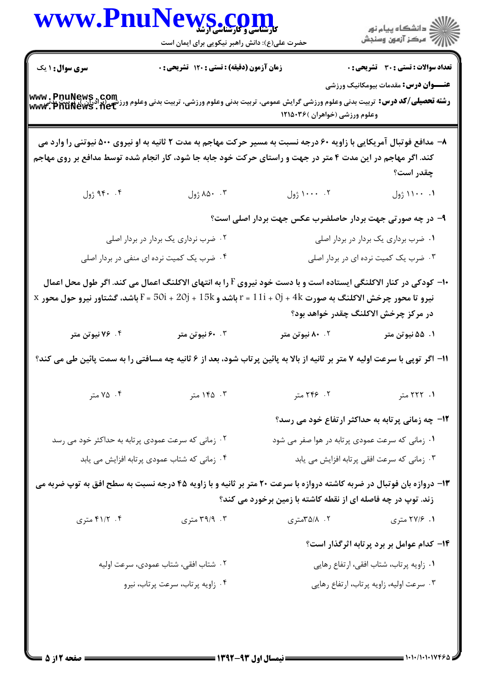| <b>سری سوال :</b> ۱ یک<br><b>تعداد سوالات : تستی : 30 - تشریحی : 0</b><br>زمان آزمون (دقیقه) : تستی : ۱۲۰ تشریحی : ۰<br><b>عنـــوان درس:</b> مقدمات بیومکانیک ورزشی<br><b>www , PnuNews , Com</b><br>و <b>شته تحصیلی/کد درس:</b> تربیت بدنی وعلوم ورزشی گرایش عمومی، تربیت بدنی وعلوم ورزشی، تربیت وعلوم ورزشی (برادران )، پزین<br><b>www , PnuNews , Net</b><br>وعلوم ورزشی (خواهران )۱۲۱۵۰۳۶<br>۸- مدافع فوتبال آمریکایی با زاویه ۶۰ درجه نسبت به مسیر حرکت مهاجم به مدت ۲ ثانیه به او نیروی ۵۰۰ نیوتنی را وارد می<br>کند. اگر مهاجم در این مدت ۴ متر در جهت و راستای حرکت خود جابه جا شود، کار انجام شده توسط مدافع بر روی مهاجم<br>چقدر است؟<br>۹۴۰ . ۴ ژول<br>۰. ۱۱۰۰ ژول<br>۹- در چه صورتی جهت بردار حاصلضرب عکس جهت بردار اصلی است؟<br>۰۱ ضرب برداری یک بردار در بردار اصلی<br>۰۲ ضرب نرداری یک بردار در بردار اصلی<br>۰۴ ضرب یک کمیت نرده ای منفی در بردار اصلی<br>۰۳ ضرب یک کمیت نرده ای در بردار اصلی<br>+ا– کودکی در کنار الاکلنگی ایستاده است و با دست خود نیروی F را به انتهای الاکلنگ اعمال می کند. اگر طول محل اعمال<br>$\, {\rm x} \,$ نیرو تا محور چرخش الاکلنگ به صورت $\, {\rm 4k} \,$ + $\, {\rm 11}$ = 1 باشد و $\, {\rm 15k} \,$ + $\, {\rm 20j} \,$ + $\, {\rm 15k} \,$ + $\, {\rm 11}$ + $\, {\rm 0j} \,$ + $\, {\rm 4k} \,$ + $\, {\rm 4k} \,$ محور $\, {\rm x} \,$<br>در مرکز چرخش الاکلنگ چقدر خواهد بود؟<br>۰۴ / ۷۶ نیوتن متر<br>۰.۳ نیوتن متر<br>۰۲ نیوتن متر<br>۰۱ ۵۵ نیوتن متر<br>11- اگر توپی با سرعت اولیه ۷ متر بر ثانیه از بالا به پائین پرتاب شود، بعد از ۶ ثانیه چه مسافتی را به سمت پائین طی می کند؟<br>۰۴ متر<br>۰۳ ۱۴۵ متر<br>۲. ۲۴۶ متر<br>۰۱ ۲۲۲ متر<br><b>۱۲</b> - چه زمانی پرتابه به حداکثر ارتفاع خود می رسد؟<br>۰۱ زمانی که سرعت عمودی پرتابه در هوا صفر می شود<br>۰۲ زمانی که سرعت عمودی پرتابه به حداکثر خود می رسد<br>۰۳ زمانی که سرعت افقی پرتابه افزایش می یابد<br>۰۴ زمانی که شتاب عمودی پرتابه افزایش می یابد<br>۱۳- دروازه بان فوتبال در ضربه کاشته دروازه با سرعت ۲۰ متر بر ثانیه و با زاویه ۴۵ درجه نسبت به سطح افق به توپ ضربه می<br>زند. توپ در چه فاصله ای از نقطه کاشته با زمین برخورد می کند؟<br>۴. ۴۱/۲ متری<br>۰۱ ۲۷/۶ متری<br>۰۳ هتري<br>۰۲ ۸/۵/۸متری<br>۱۴- کدام عوامل بر برد پرتابه اثرگذار است؟<br>۰۱ زاویه پرتاب، شتاب افقی، ارتفاع رهایی<br>۰۲ شتاب افقی، شتاب عمودی، سرعت اولیه<br>۰۳ سرعت اولیه، زاویه پرتاب، ارتفاع رهایی<br>۰۴ زاویه پرتاب، سرعت پرتاب، نیرو | WWW.PnuNews.com<br>حضرت علی(ع): دانش راهبر نیکویی برای ایمان است | الارد دانشگاه پيام نور<br>۱۳۱۸ - مرکز آزمون وسنجش |
|---------------------------------------------------------------------------------------------------------------------------------------------------------------------------------------------------------------------------------------------------------------------------------------------------------------------------------------------------------------------------------------------------------------------------------------------------------------------------------------------------------------------------------------------------------------------------------------------------------------------------------------------------------------------------------------------------------------------------------------------------------------------------------------------------------------------------------------------------------------------------------------------------------------------------------------------------------------------------------------------------------------------------------------------------------------------------------------------------------------------------------------------------------------------------------------------------------------------------------------------------------------------------------------------------------------------------------------------------------------------------------------------------------------------------------------------------------------------------------------------------------------------------------------------------------------------------------------------------------------------------------------------------------------------------------------------------------------------------------------------------------------------------------------------------------------------------------------------------------------------------------------------------------------------------------------------------------------------------------------------------------------------------------------------------------------------------------------------------------------------------------------------------------------------------------------------------------------------------------------------------------------------------------------------------------------------------------------|------------------------------------------------------------------|---------------------------------------------------|
|                                                                                                                                                                                                                                                                                                                                                                                                                                                                                                                                                                                                                                                                                                                                                                                                                                                                                                                                                                                                                                                                                                                                                                                                                                                                                                                                                                                                                                                                                                                                                                                                                                                                                                                                                                                                                                                                                                                                                                                                                                                                                                                                                                                                                                                                                                                                       |                                                                  |                                                   |
|                                                                                                                                                                                                                                                                                                                                                                                                                                                                                                                                                                                                                                                                                                                                                                                                                                                                                                                                                                                                                                                                                                                                                                                                                                                                                                                                                                                                                                                                                                                                                                                                                                                                                                                                                                                                                                                                                                                                                                                                                                                                                                                                                                                                                                                                                                                                       |                                                                  |                                                   |
|                                                                                                                                                                                                                                                                                                                                                                                                                                                                                                                                                                                                                                                                                                                                                                                                                                                                                                                                                                                                                                                                                                                                                                                                                                                                                                                                                                                                                                                                                                                                                                                                                                                                                                                                                                                                                                                                                                                                                                                                                                                                                                                                                                                                                                                                                                                                       |                                                                  |                                                   |
|                                                                                                                                                                                                                                                                                                                                                                                                                                                                                                                                                                                                                                                                                                                                                                                                                                                                                                                                                                                                                                                                                                                                                                                                                                                                                                                                                                                                                                                                                                                                                                                                                                                                                                                                                                                                                                                                                                                                                                                                                                                                                                                                                                                                                                                                                                                                       |                                                                  |                                                   |
|                                                                                                                                                                                                                                                                                                                                                                                                                                                                                                                                                                                                                                                                                                                                                                                                                                                                                                                                                                                                                                                                                                                                                                                                                                                                                                                                                                                                                                                                                                                                                                                                                                                                                                                                                                                                                                                                                                                                                                                                                                                                                                                                                                                                                                                                                                                                       |                                                                  |                                                   |
|                                                                                                                                                                                                                                                                                                                                                                                                                                                                                                                                                                                                                                                                                                                                                                                                                                                                                                                                                                                                                                                                                                                                                                                                                                                                                                                                                                                                                                                                                                                                                                                                                                                                                                                                                                                                                                                                                                                                                                                                                                                                                                                                                                                                                                                                                                                                       |                                                                  |                                                   |
|                                                                                                                                                                                                                                                                                                                                                                                                                                                                                                                                                                                                                                                                                                                                                                                                                                                                                                                                                                                                                                                                                                                                                                                                                                                                                                                                                                                                                                                                                                                                                                                                                                                                                                                                                                                                                                                                                                                                                                                                                                                                                                                                                                                                                                                                                                                                       |                                                                  |                                                   |
|                                                                                                                                                                                                                                                                                                                                                                                                                                                                                                                                                                                                                                                                                                                                                                                                                                                                                                                                                                                                                                                                                                                                                                                                                                                                                                                                                                                                                                                                                                                                                                                                                                                                                                                                                                                                                                                                                                                                                                                                                                                                                                                                                                                                                                                                                                                                       |                                                                  |                                                   |
|                                                                                                                                                                                                                                                                                                                                                                                                                                                                                                                                                                                                                                                                                                                                                                                                                                                                                                                                                                                                                                                                                                                                                                                                                                                                                                                                                                                                                                                                                                                                                                                                                                                                                                                                                                                                                                                                                                                                                                                                                                                                                                                                                                                                                                                                                                                                       |                                                                  |                                                   |
|                                                                                                                                                                                                                                                                                                                                                                                                                                                                                                                                                                                                                                                                                                                                                                                                                                                                                                                                                                                                                                                                                                                                                                                                                                                                                                                                                                                                                                                                                                                                                                                                                                                                                                                                                                                                                                                                                                                                                                                                                                                                                                                                                                                                                                                                                                                                       |                                                                  |                                                   |
|                                                                                                                                                                                                                                                                                                                                                                                                                                                                                                                                                                                                                                                                                                                                                                                                                                                                                                                                                                                                                                                                                                                                                                                                                                                                                                                                                                                                                                                                                                                                                                                                                                                                                                                                                                                                                                                                                                                                                                                                                                                                                                                                                                                                                                                                                                                                       |                                                                  |                                                   |
|                                                                                                                                                                                                                                                                                                                                                                                                                                                                                                                                                                                                                                                                                                                                                                                                                                                                                                                                                                                                                                                                                                                                                                                                                                                                                                                                                                                                                                                                                                                                                                                                                                                                                                                                                                                                                                                                                                                                                                                                                                                                                                                                                                                                                                                                                                                                       |                                                                  |                                                   |
|                                                                                                                                                                                                                                                                                                                                                                                                                                                                                                                                                                                                                                                                                                                                                                                                                                                                                                                                                                                                                                                                                                                                                                                                                                                                                                                                                                                                                                                                                                                                                                                                                                                                                                                                                                                                                                                                                                                                                                                                                                                                                                                                                                                                                                                                                                                                       |                                                                  |                                                   |
|                                                                                                                                                                                                                                                                                                                                                                                                                                                                                                                                                                                                                                                                                                                                                                                                                                                                                                                                                                                                                                                                                                                                                                                                                                                                                                                                                                                                                                                                                                                                                                                                                                                                                                                                                                                                                                                                                                                                                                                                                                                                                                                                                                                                                                                                                                                                       |                                                                  |                                                   |
|                                                                                                                                                                                                                                                                                                                                                                                                                                                                                                                                                                                                                                                                                                                                                                                                                                                                                                                                                                                                                                                                                                                                                                                                                                                                                                                                                                                                                                                                                                                                                                                                                                                                                                                                                                                                                                                                                                                                                                                                                                                                                                                                                                                                                                                                                                                                       |                                                                  |                                                   |
|                                                                                                                                                                                                                                                                                                                                                                                                                                                                                                                                                                                                                                                                                                                                                                                                                                                                                                                                                                                                                                                                                                                                                                                                                                                                                                                                                                                                                                                                                                                                                                                                                                                                                                                                                                                                                                                                                                                                                                                                                                                                                                                                                                                                                                                                                                                                       |                                                                  |                                                   |
|                                                                                                                                                                                                                                                                                                                                                                                                                                                                                                                                                                                                                                                                                                                                                                                                                                                                                                                                                                                                                                                                                                                                                                                                                                                                                                                                                                                                                                                                                                                                                                                                                                                                                                                                                                                                                                                                                                                                                                                                                                                                                                                                                                                                                                                                                                                                       |                                                                  |                                                   |
|                                                                                                                                                                                                                                                                                                                                                                                                                                                                                                                                                                                                                                                                                                                                                                                                                                                                                                                                                                                                                                                                                                                                                                                                                                                                                                                                                                                                                                                                                                                                                                                                                                                                                                                                                                                                                                                                                                                                                                                                                                                                                                                                                                                                                                                                                                                                       |                                                                  |                                                   |
|                                                                                                                                                                                                                                                                                                                                                                                                                                                                                                                                                                                                                                                                                                                                                                                                                                                                                                                                                                                                                                                                                                                                                                                                                                                                                                                                                                                                                                                                                                                                                                                                                                                                                                                                                                                                                                                                                                                                                                                                                                                                                                                                                                                                                                                                                                                                       |                                                                  |                                                   |
|                                                                                                                                                                                                                                                                                                                                                                                                                                                                                                                                                                                                                                                                                                                                                                                                                                                                                                                                                                                                                                                                                                                                                                                                                                                                                                                                                                                                                                                                                                                                                                                                                                                                                                                                                                                                                                                                                                                                                                                                                                                                                                                                                                                                                                                                                                                                       |                                                                  |                                                   |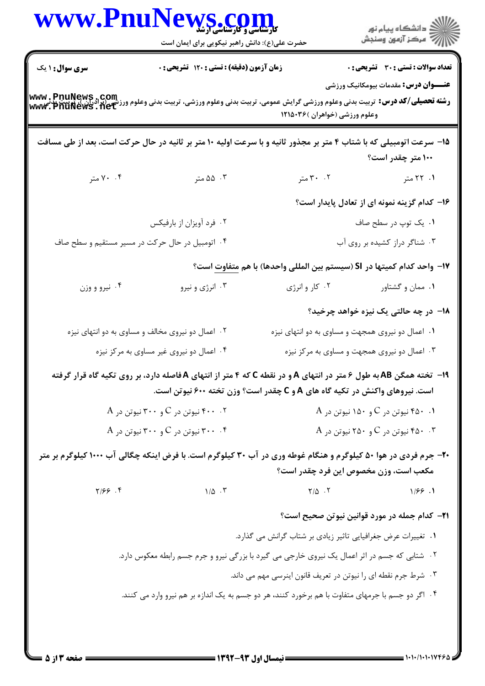|                        | WWW.PnuNews.com<br>حضرت علی(ع): دانش راهبر نیکویی برای ایمان است                                                                                           |                                                                            | ِ<br>∭ دانشڪاه پيام نور<br>∭ مرڪز آزمون وسنڊش        |
|------------------------|------------------------------------------------------------------------------------------------------------------------------------------------------------|----------------------------------------------------------------------------|------------------------------------------------------|
| <b>سری سوال : ۱ یک</b> | زمان آزمون (دقیقه) : تستی : ۱۲۰ تشریحی : ۰                                                                                                                 |                                                                            | <b>تعداد سوالات : تستی : 30 ٪ تشریحی : 0</b>         |
|                        | <b>رشته تحصیلی/کد درس:</b> تربیت بدنی وعلوم ورزشی گرایش عمومی، تربیت بدنی وعلوم ورزشی، تربیت بدنی وعلوم ورزشی (برادران)، پُرپیت پذیی<br>Www. PnuNews . net | وعلوم ورزشي (خواهران )۲۱۵۰۳۶                                               | <b>عنـــوان درس:</b> مقدمات بیومکانیک ورزشی          |
|                        | ۱۵– سرعت اتومبیلی که با شتاب ۴ متر بر مجذور ثانیه و با سرعت اولیه ۱۰ متر بر ثانیه در حال حرکت است، بعد از طی مسافت                                         |                                                                            | ۱۰۰ متر چقدر است؟                                    |
| ۰۴ متر                 | ۰۳ ۵۵ متر                                                                                                                                                  | ۰۲ متر                                                                     | ۱. ۲۲ متر                                            |
|                        |                                                                                                                                                            |                                                                            | ۱۶– کدام گزینه نمونه ای از تعادل پایدار است؟         |
|                        | ۰۲ فرد آویزان از بارفیکس                                                                                                                                   |                                                                            | ۰۱ یک توپ در سطح صاف                                 |
|                        | ۰۴ اتومبیل در حال حرکت در مسیر مستقیم و سطح صاف                                                                                                            |                                                                            | ۰۳ شناگر دراز کشیده بر روی آب                        |
|                        |                                                                                                                                                            | IY−  واحد كدام كميتها در SI (سيستم بين المللي واحدها) با هم متفاوت است؟    |                                                      |
| ۰۴ نیرو و وزن          | ۰۳ انرژی و نیرو                                                                                                                                            | ۰۲ کار و انرژی                                                             | ۰۱ ممان و گشتاور                                     |
|                        |                                                                                                                                                            |                                                                            | ۱۸– در چه حالتی یک نیزه خواهد چرخید؟                 |
|                        | ۰۲ اعمال دو نیروی مخالف و مساوی به دو انتهای نیزه                                                                                                          | ۰۱ اعمال دو نیروی همجهت و مساوی به دو انتهای نیزه                          |                                                      |
|                        | ۰۴ اعمال دو نیروی غیر مساوی به مرکز نیزه                                                                                                                   |                                                                            | ۰۳ اعمال دو نیروی همجهت و مساوی به مرکز نیزه         |
|                        | ۱۹- تخته همگن AB به طول ۶ متر در انتهای A و در نقطه C که ۴ متر از انتهای A فاصله دارد، بر روی تکیه گاه قرار گرفته                                          | است. نیروهای واکنش در تکیه گاه های A و C چقدر است؟ وزن تخته ۶۰۰ نیوتن است. |                                                      |
|                        | A نیوتن در C و ۳۰۰ نیوتن در A                                                                                                                              |                                                                            | A نیوتن در C و ۱۵۰ نیوتن در A $\cdot$ ۰ ۱            |
|                        | A نیوتن در C و ۳۰۰ نیوتن در A                                                                                                                              |                                                                            | A نیوتن در C و ۲۵۰ نیوتن در A $\cdot$ ۰ ۴۵۰ نیوتن در |
|                        | ۲۰- جرم فردی در هوا ۵۰ کیلوگرم و هنگام غوطه وری در آب ۳۰ کیلوگرم است. با فرض اینکه چگالی آب ۱۰۰۰ کیلوگرم بر متر                                            |                                                                            | مکعب است، وزن مخصوص این فرد چقدر است؟                |
| 7/99.9                 | $1/\Delta$ .                                                                                                                                               | $\mathsf{Y}/\Delta$ . $\mathsf{Y}$                                         | 1/55.1                                               |
|                        |                                                                                                                                                            |                                                                            | <b>٢١</b> - كدام جمله در مورد قوانين نيوتن صحيح است؟ |
|                        |                                                                                                                                                            | ۰۱ تغییرات عرض جغرافیایی تاثیر زیادی بر شتاب گرانش می گذارد.               |                                                      |
|                        | ۰۲ شتابی که جسم در اثر اعمال یک نیروی خارجی می گیرد با بزرگی نیرو و جرم جسم رابطه معکوس دارد.                                                              |                                                                            |                                                      |
|                        |                                                                                                                                                            | ۰۳ شرط جرم نقطه ای را نیوتن در تعریف قانون اینرسی مهم می داند.             |                                                      |
|                        | ۰۴ اگر دو جسم با جرمهای متفاوت با هم برخورد کنند، هر دو جسم به یک اندازه بر هم نیرو وارد می کنند.                                                          |                                                                            |                                                      |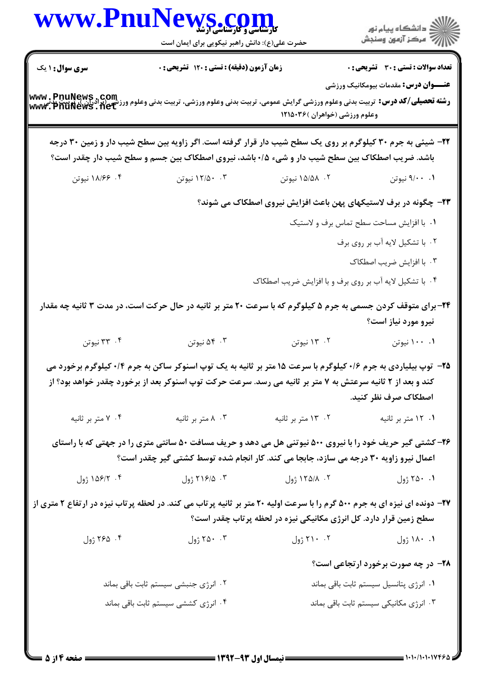|                 | حضرت علی(ع): دانش راهبر نیکویی برای ایمان است                                                                                                                                                                                        | WWW.PnuNews.com                                                   | ر<br>دانشڪاه پيام نور)<br>ا∛ مرڪز آزمون وسنڊش                                        |
|-----------------|--------------------------------------------------------------------------------------------------------------------------------------------------------------------------------------------------------------------------------------|-------------------------------------------------------------------|--------------------------------------------------------------------------------------|
| سری سوال: ۱ یک  | زمان آزمون (دقیقه) : تستی : ۱۲۰ تشریحی : ۰                                                                                                                                                                                           |                                                                   | <b>تعداد سوالات : تستی : 30 ٪ تشریحی : 0</b>                                         |
|                 | -<br>و <b>شته تحصیلی/کد درس:</b> تربیت بدنی وعلوم ورزشی گرایش عمومی، تربیت بدنی وعلوم ورزشی، تربیت بدنی وعلوم ورزشی (برادران)<br>WWW ، PnuNews ، net                                                                                 | وعلوم ورزشي (خواهران )۱۲۱۵۰۳۶                                     | <b>عنـــوان درس:</b> مقدمات بیومکانیک ورزشی                                          |
|                 | ۲۲- شیئی به جرم ۳۰ کیلوگرم بر روی یک سطح شیب دار قرار گرفته است. اگر زاویه بین سطح شیب دار و زمین ۳۰ درجه<br>باشد. ضریب اصطکاک بین سطح شیب دار و شیء ۰/۵ باشد، نیروی اصطکاک بین جسم و سطح شیب دار چقدر است؟                          |                                                                   |                                                                                      |
| ۰۴ ۱۸/۶۶ نیوتن  | ۱۲/۵۰ ۰۳ نیوتن                                                                                                                                                                                                                       | ۰۲ ـ ۱۵/۵۸ نیوتن                                                  | ۰۱ ۹/۰۰ نیوتن                                                                        |
|                 |                                                                                                                                                                                                                                      | ۲۳- چگونه در برف لاستیکهای پهن باعث افزایش نیروی اصطکاک می شوند؟  |                                                                                      |
|                 |                                                                                                                                                                                                                                      |                                                                   | ٠١. با افزايش مساحت سطح تماس برف و لاستيک                                            |
|                 |                                                                                                                                                                                                                                      |                                                                   | ٢. با تشكيل لايه أب بر روى برف                                                       |
|                 |                                                                                                                                                                                                                                      |                                                                   | ۰۳ با افزایش ضریب اصطکاک                                                             |
|                 |                                                                                                                                                                                                                                      | ۰۴ با تشکیل لایه آب بر روی برف و با افزایش ضریب اصطکاک            |                                                                                      |
|                 | ۲۴- برای متوقف کردن جسمی به جرم ۵ کیلوگرم که با سرعت ۲۰ متر بر ثانیه در حال حرکت است، در مدت ۳ ثانیه چه مقدار                                                                                                                        |                                                                   | نیرو مورد نیاز است؟                                                                  |
|                 |                                                                                                                                                                                                                                      |                                                                   |                                                                                      |
| ۰۴ نیوتن        | ۰۳ نیوتن                                                                                                                                                                                                                             | ۰۲ نیوتن                                                          | ۰۰ ۱۰۰ نیوتن                                                                         |
|                 | <b>۲۵</b> - توپ بیلیاردی به جرم ۱۶+ کیلوگرم با سرعت ۱۵ متر بر ثانیه به یک توپ اسنوکر ساکن به جرم ۰/۴ کیلوگرم برخورد می<br>کند و بعد از ۲ ثانیه سرعتش به ۷ متر بر ثانیه می رسد. سرعت حرکت توپ اسنوکر بعد از برخورد چقدر خواهد بود؟ از |                                                                   | اصطكاك صرف نظر كنيد.                                                                 |
| ۰۴ متر بر ثانیه | ۰۳ متر بر ثانیه                                                                                                                                                                                                                      | ۰۲ ۱۳ متر بر ثانیه                                                | ۰۱ ۱۲ متر بر ثانیه                                                                   |
|                 | ۲۶- کشتی گیر حریف خود را با نیروی ۵۰۰ نیوتنی هل می دهد و حریف مسافت ۵۰ سانتی متری را در جهتی که با راستای<br>اعمال نیرو زاویه ۳۰ درجه می سازد، جابجا می کند. کار انجام شده توسط کشتی گیر چقدر است؟                                   |                                                                   |                                                                                      |
| ۰۴ ۱۵۶/۲ ژول    | ۰۳ ۱۶/۵ ژول                                                                                                                                                                                                                          | ۰۲ ۸/۱۲۵ ژول                                                      | ۰۱ ۲۵۰ ژول                                                                           |
|                 | ۲۷- دونده ای نیزه ای به جرم ۵۰۰ گرم را با سرعت اولیه ۲۰ متر بر ثانیه پرتاب می کند. در لحظه پرتاب نیزه در ارتفاع ۲ متری از                                                                                                            | سطح زمین قرار دارد. کل انرژی مکانیکی نیزه در لحظه پرتاب چقدر است؟ |                                                                                      |
| ۰۴ ژول          | ۲۵۰ ۰۳ ژول                                                                                                                                                                                                                           | ۲۱۰ .۲ ژول                                                        | ۰۱ ۱۸۰ ژول                                                                           |
|                 |                                                                                                                                                                                                                                      |                                                                   |                                                                                      |
|                 | ۰۲ انرژی جنبشی سیستم ثابت باقی بماند                                                                                                                                                                                                 |                                                                   | <b>۲۸</b> - در چه صورت برخورد ارتجاعی است؟<br>۰۱ انرژی پتانسیل سیستم ثابت باقی بماند |